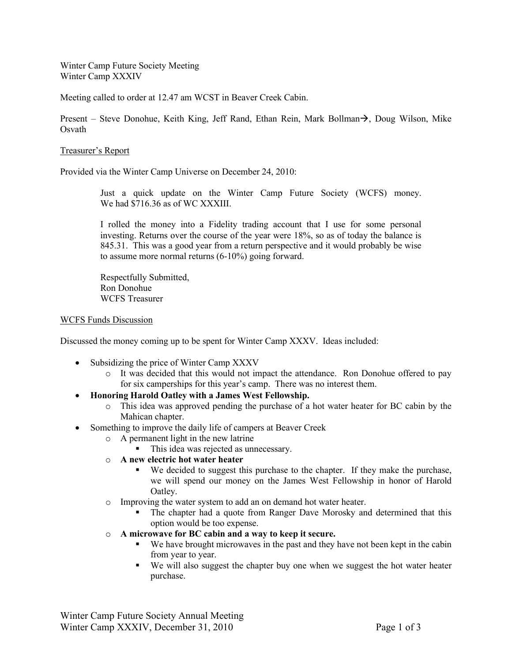Winter Camp Future Society Meeting Winter Camp XXXIV

Meeting called to order at 12.47 am WCST in Beaver Creek Cabin.

Present – Steve Donohue, Keith King, Jeff Rand, Ethan Rein, Mark Bollman $\rightarrow$ , Doug Wilson, Mike Osvath

## Treasurer's Report

Provided via the Winter Camp Universe on December 24, 2010:

Just a quick update on the Winter Camp Future Society (WCFS) money. We had \$716.36 as of WC XXXIII.

I rolled the money into a Fidelity trading account that I use for some personal investing. Returns over the course of the year were 18%, so as of today the balance is 845.31. This was a good year from a return perspective and it would probably be wise to assume more normal returns (6-10%) going forward.

Respectfully Submitted, Ron Donohue WCFS Treasurer

## WCFS Funds Discussion

Discussed the money coming up to be spent for Winter Camp XXXV. Ideas included:

- Subsidizing the price of Winter Camp XXXV
	- o It was decided that this would not impact the attendance. Ron Donohue offered to pay for six camperships for this year's camp. There was no interest them.
- **Honoring Harold Oatley with a James West Fellowship.**
	- o This idea was approved pending the purchase of a hot water heater for BC cabin by the Mahican chapter.
- Something to improve the daily life of campers at Beaver Creek
	- o A permanent light in the new latrine
		- This idea was rejected as unnecessary.
	- o **A new electric hot water heater**
		- We decided to suggest this purchase to the chapter. If they make the purchase, we will spend our money on the James West Fellowship in honor of Harold Oatley.
	- o Improving the water system to add an on demand hot water heater.
		- The chapter had a quote from Ranger Dave Morosky and determined that this option would be too expense.
	- o **A microwave for BC cabin and a way to keep it secure.** 
		- We have brought microwaves in the past and they have not been kept in the cabin from year to year.
		- We will also suggest the chapter buy one when we suggest the hot water heater purchase.

Winter Camp Future Society Annual Meeting Winter Camp XXXIV, December 31, 2010 Page 1 of 3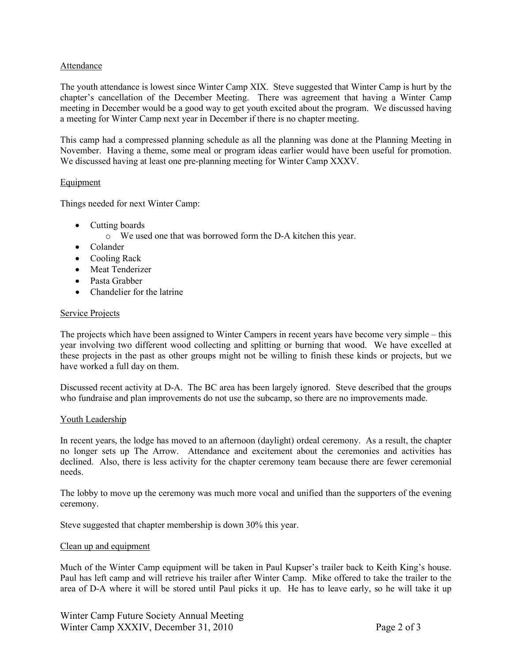## Attendance

The youth attendance is lowest since Winter Camp XIX. Steve suggested that Winter Camp is hurt by the chapter's cancellation of the December Meeting. There was agreement that having a Winter Camp meeting in December would be a good way to get youth excited about the program. We discussed having a meeting for Winter Camp next year in December if there is no chapter meeting.

This camp had a compressed planning schedule as all the planning was done at the Planning Meeting in November. Having a theme, some meal or program ideas earlier would have been useful for promotion. We discussed having at least one pre-planning meeting for Winter Camp XXXV.

## **Equipment**

Things needed for next Winter Camp:

- Cutting boards
	- o We used one that was borrowed form the D-A kitchen this year.
- Colander
- Cooling Rack
- Meat Tenderizer
- Pasta Grabber
- Chandelier for the latrine

## Service Projects

The projects which have been assigned to Winter Campers in recent years have become very simple – this year involving two different wood collecting and splitting or burning that wood. We have excelled at these projects in the past as other groups might not be willing to finish these kinds or projects, but we have worked a full day on them.

Discussed recent activity at D-A. The BC area has been largely ignored. Steve described that the groups who fundraise and plan improvements do not use the subcamp, so there are no improvements made.

#### Youth Leadership

In recent years, the lodge has moved to an afternoon (daylight) ordeal ceremony. As a result, the chapter no longer sets up The Arrow. Attendance and excitement about the ceremonies and activities has declined. Also, there is less activity for the chapter ceremony team because there are fewer ceremonial needs.

The lobby to move up the ceremony was much more vocal and unified than the supporters of the evening ceremony.

Steve suggested that chapter membership is down 30% this year.

#### Clean up and equipment

Much of the Winter Camp equipment will be taken in Paul Kupser's trailer back to Keith King's house. Paul has left camp and will retrieve his trailer after Winter Camp. Mike offered to take the trailer to the area of D-A where it will be stored until Paul picks it up. He has to leave early, so he will take it up